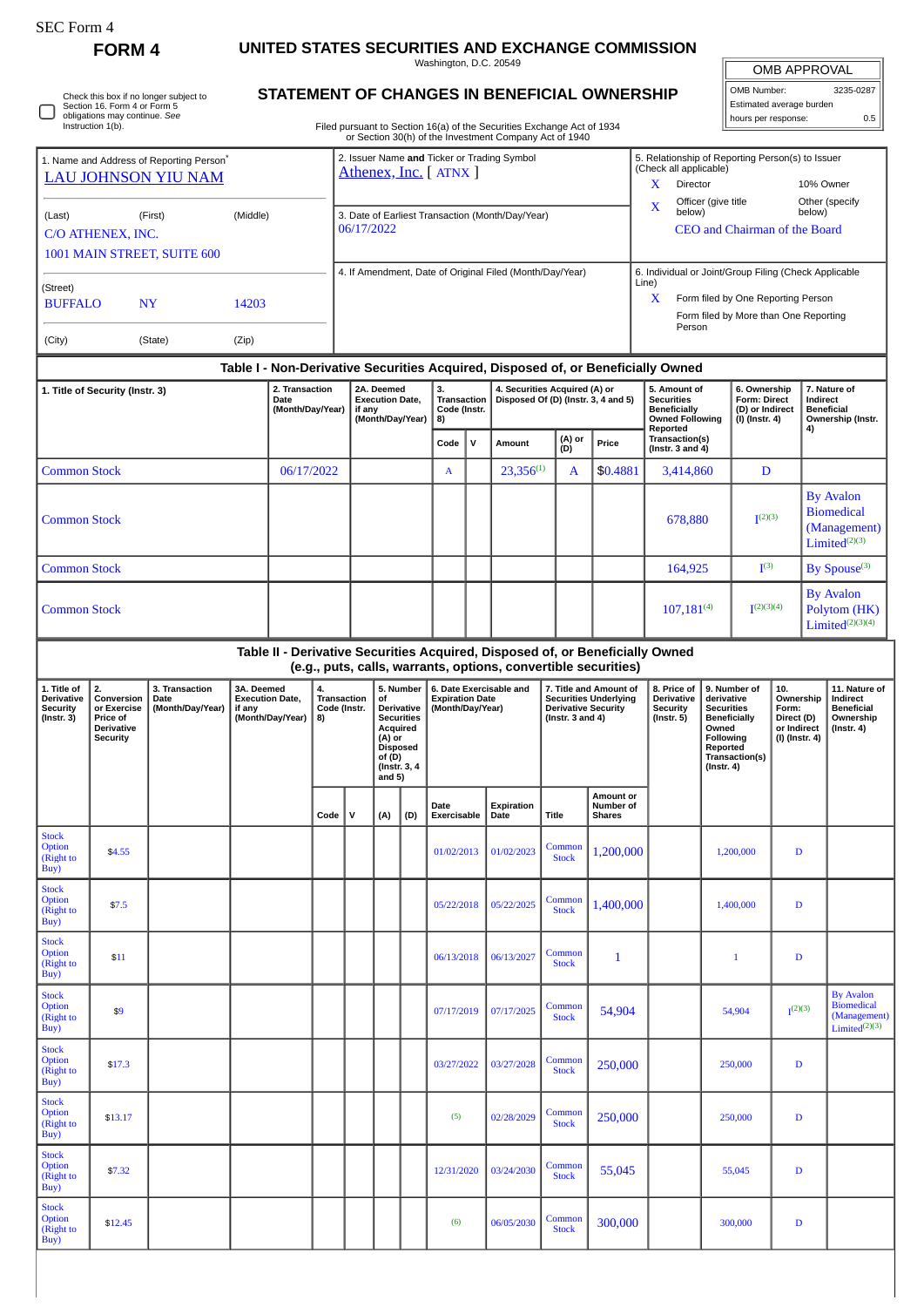| SEC Form 4                                         |                                                                                                                              |                                                                                                                                |                                                                                                                                                                                                                                                    |                                                                                           |                                                                |                                            |                          |              |                                                                                                                                                                        |                                                          |                                                                                           |                                                                                                                        |                                                                                                 |                                                                               |                    |                                                                    |                  |                                                         |                                                                                    |
|----------------------------------------------------|------------------------------------------------------------------------------------------------------------------------------|--------------------------------------------------------------------------------------------------------------------------------|----------------------------------------------------------------------------------------------------------------------------------------------------------------------------------------------------------------------------------------------------|-------------------------------------------------------------------------------------------|----------------------------------------------------------------|--------------------------------------------|--------------------------|--------------|------------------------------------------------------------------------------------------------------------------------------------------------------------------------|----------------------------------------------------------|-------------------------------------------------------------------------------------------|------------------------------------------------------------------------------------------------------------------------|-------------------------------------------------------------------------------------------------|-------------------------------------------------------------------------------|--------------------|--------------------------------------------------------------------|------------------|---------------------------------------------------------|------------------------------------------------------------------------------------|
| <b>FORM4</b>                                       |                                                                                                                              |                                                                                                                                | UNITED STATES SECURITIES AND EXCHANGE COMMISSION<br>Washington, D.C. 20549<br>OMB APPROVAL                                                                                                                                                         |                                                                                           |                                                                |                                            |                          |              |                                                                                                                                                                        |                                                          |                                                                                           |                                                                                                                        |                                                                                                 |                                                                               |                    |                                                                    |                  |                                                         |                                                                                    |
|                                                    | Check this box if no longer subject to<br>Section 16. Form 4 or Form 5<br>obligations may continue. See<br>Instruction 1(b). |                                                                                                                                | OMB Number:<br>STATEMENT OF CHANGES IN BENEFICIAL OWNERSHIP<br>Estimated average burden<br>hours per response:<br>Filed pursuant to Section 16(a) of the Securities Exchange Act of 1934<br>or Section 30(h) of the Investment Company Act of 1940 |                                                                                           |                                                                |                                            |                          |              |                                                                                                                                                                        |                                                          |                                                                                           |                                                                                                                        |                                                                                                 |                                                                               |                    |                                                                    | 3235-0287<br>0.5 |                                                         |                                                                                    |
|                                                    |                                                                                                                              | 1. Name and Address of Reporting Person*                                                                                       |                                                                                                                                                                                                                                                    |                                                                                           |                                                                |                                            |                          |              |                                                                                                                                                                        |                                                          | 2. Issuer Name and Ticker or Trading Symbol                                               |                                                                                                                        |                                                                                                 | 5. Relationship of Reporting Person(s) to Issuer                              |                    |                                                                    |                  |                                                         |                                                                                    |
|                                                    | <b>LAU JOHNSON YIU NAM</b>                                                                                                   |                                                                                                                                |                                                                                                                                                                                                                                                    |                                                                                           | Athenex, Inc. [ATNX ]                                          |                                            |                          |              |                                                                                                                                                                        |                                                          |                                                                                           |                                                                                                                        | (Check all applicable)<br>Director<br>10% Owner<br>X.                                           |                                                                               |                    |                                                                    |                  |                                                         |                                                                                    |
| (Last)                                             | (First)<br>C/O ATHENEX, INC.<br>1001 MAIN STREET, SUITE 600                                                                  | (Middle)                                                                                                                       |                                                                                                                                                                                                                                                    |                                                                                           | 3. Date of Earliest Transaction (Month/Day/Year)<br>06/17/2022 |                                            |                          |              |                                                                                                                                                                        |                                                          |                                                                                           |                                                                                                                        | Officer (give title<br>Other (specify<br>x<br>below)<br>below)<br>CEO and Chairman of the Board |                                                                               |                    |                                                                    |                  |                                                         |                                                                                    |
|                                                    |                                                                                                                              |                                                                                                                                |                                                                                                                                                                                                                                                    |                                                                                           |                                                                |                                            |                          |              |                                                                                                                                                                        | 4. If Amendment, Date of Original Filed (Month/Day/Year) |                                                                                           | 6. Individual or Joint/Group Filing (Check Applicable<br>Line)                                                         |                                                                                                 |                                                                               |                    |                                                                    |                  |                                                         |                                                                                    |
| (Street)<br><b>BUFFALO</b>                         | 14203                                                                                                                        |                                                                                                                                |                                                                                                                                                                                                                                                    |                                                                                           |                                                                |                                            |                          |              |                                                                                                                                                                        |                                                          |                                                                                           | Form filed by One Reporting Person<br>X<br>Form filed by More than One Reporting<br>Person                             |                                                                                                 |                                                                               |                    |                                                                    |                  |                                                         |                                                                                    |
| (City)                                             |                                                                                                                              | (State)                                                                                                                        | (Zip)                                                                                                                                                                                                                                              |                                                                                           |                                                                |                                            |                          |              |                                                                                                                                                                        |                                                          |                                                                                           |                                                                                                                        |                                                                                                 |                                                                               |                    |                                                                    |                  |                                                         |                                                                                    |
| 1. Title of Security (Instr. 3)                    | 2. Transaction<br><b>Date</b><br>(Month/Day/Year)                                                                            |                                                                                                                                |                                                                                                                                                                                                                                                    | if any                                                                                    | 2A. Deemed<br><b>Execution Date,</b><br>(Month/Day/Year)       |                                            | 3.<br>Code (Instr.<br>8) |              | Table I - Non-Derivative Securities Acquired, Disposed of, or Beneficially Owned<br>4. Securities Acquired (A) or<br>Transaction   Disposed Of (D) (Instr. 3, 4 and 5) |                                                          |                                                                                           | 5. Amount of<br><b>Securities</b><br><b>Beneficially</b><br><b>Owned Following</b>                                     |                                                                                                 | 6. Ownership<br>Form: Direct<br>(D) or Indirect<br>(I) (Instr. 4)             |                    | 7. Nature of<br>Indirect<br><b>Beneficial</b><br>Ownership (Instr. |                  |                                                         |                                                                                    |
|                                                    |                                                                                                                              |                                                                                                                                |                                                                                                                                                                                                                                                    |                                                                                           |                                                                |                                            | Code                     | $\mathsf{v}$ | Amount                                                                                                                                                                 | (A) or<br>(D)                                            | Price                                                                                     | Reported<br>Transaction(s)<br>(Instr. $3$ and $4$ )                                                                    |                                                                                                 |                                                                               | 4)                 |                                                                    |                  |                                                         |                                                                                    |
| <b>Common Stock</b>                                |                                                                                                                              |                                                                                                                                |                                                                                                                                                                                                                                                    | 06/17/2022                                                                                |                                                                |                                            |                          | A            |                                                                                                                                                                        | $23,356^{(1)}$                                           | A                                                                                         | \$0.4881                                                                                                               |                                                                                                 | 3,414,860                                                                     |                    | D                                                                  |                  |                                                         |                                                                                    |
| <b>Common Stock</b>                                |                                                                                                                              |                                                                                                                                |                                                                                                                                                                                                                                                    |                                                                                           |                                                                |                                            |                          |              |                                                                                                                                                                        |                                                          |                                                                                           |                                                                                                                        |                                                                                                 | 678,880                                                                       |                    |                                                                    | (2)(3)           |                                                         | <b>By Avalon</b><br><b>Biomedical</b><br>(Management)<br>Limited <sup>(2)(3)</sup> |
| <b>Common Stock</b>                                |                                                                                                                              |                                                                                                                                |                                                                                                                                                                                                                                                    |                                                                                           |                                                                |                                            |                          |              |                                                                                                                                                                        |                                                          |                                                                                           |                                                                                                                        | 164,925                                                                                         |                                                                               | $\mathbf{I}^{(3)}$ |                                                                    |                  | By Spouse <sup>(3)</sup>                                |                                                                                    |
| <b>Common Stock</b>                                |                                                                                                                              |                                                                                                                                |                                                                                                                                                                                                                                                    |                                                                                           |                                                                |                                            |                          |              |                                                                                                                                                                        |                                                          |                                                                                           |                                                                                                                        |                                                                                                 | $107,181^{(4)}$                                                               |                    | (2)(3)(4)                                                          |                  | <b>By Avalon</b><br>Polytom (HK)<br>Limited $(2)(3)(4)$ |                                                                                    |
|                                                    |                                                                                                                              |                                                                                                                                |                                                                                                                                                                                                                                                    |                                                                                           |                                                                |                                            |                          |              |                                                                                                                                                                        |                                                          |                                                                                           |                                                                                                                        |                                                                                                 | Table II - Derivative Securities Acquired, Disposed of, or Beneficially Owned |                    |                                                                    |                  |                                                         |                                                                                    |
| 1. Title of                                        | 2.                                                                                                                           | 3. Transaction                                                                                                                 | 3A. Deemed                                                                                                                                                                                                                                         |                                                                                           | 4.                                                             |                                            |                          | 5. Number    |                                                                                                                                                                        |                                                          | (e.g., puts, calls, warrants, options, convertible securities)<br>6. Date Exercisable and |                                                                                                                        | 7. Title and Amount of                                                                          | 8. Price of                                                                   |                    | 9. Number of                                                       | 10.              |                                                         | 11. Nature of                                                                      |
| <b>Derivative</b><br><b>Security</b><br>(Instr. 3) | Conversion<br>or Exercise<br>Price of<br><b>Derivative</b><br>Security                                                       | <b>Transaction</b><br>Date<br><b>Execution Date,</b><br>(Month/Day/Year)<br>Code (Instr.<br>if any<br>(Month/Day/Year)<br>  8) |                                                                                                                                                                                                                                                    | of<br><b>Acquired</b><br>(A) or<br><b>Disposed</b><br>of (D)<br>(Instr. 3, 4)<br>and $5)$ | <b>Derivative</b><br><b>Securities</b>                         | <b>Expiration Date</b><br>(Month/Day/Year) |                          |              | <b>Securities Underlying</b><br><b>Derivative Security</b><br>(Instr. 3 and 4)                                                                                         |                                                          | <b>Derivative</b><br>Security<br>(Instr. 5)                                               | derivative<br><b>Securities</b><br>вепетісіану<br>Owned<br>Following<br>Reported<br>Transaction(s)<br>$($ Instr. 4 $)$ |                                                                                                 | Ownership<br>Form:<br>Direct (D)<br>or Indirect<br>(I) (Instr. 4)             |                    | Indirect<br><b>Beneficial</b><br>Ownersnip<br>(Instr. 4)           |                  |                                                         |                                                                                    |
|                                                    |                                                                                                                              |                                                                                                                                |                                                                                                                                                                                                                                                    |                                                                                           | Code                                                           | $\mathsf{v}$                               | (A)<br>(D)               |              | Date<br>Exercisable                                                                                                                                                    |                                                          | Expiration<br>Date                                                                        | <b>Title</b>                                                                                                           | Amount or<br>Number of<br><b>Shares</b>                                                         |                                                                               |                    |                                                                    |                  |                                                         |                                                                                    |
| <b>Stock</b><br><b>Option</b><br>(Right to<br>Buy) | \$4.55                                                                                                                       |                                                                                                                                |                                                                                                                                                                                                                                                    |                                                                                           |                                                                |                                            |                          |              | 01/02/2013                                                                                                                                                             |                                                          | 01/02/2023                                                                                | Common<br><b>Stock</b>                                                                                                 | 1,200,000                                                                                       |                                                                               |                    | 1,200,000                                                          |                  | $\mathbf D$                                             |                                                                                    |
| <b>Stock</b><br>Option<br>(Right to<br>Buy)        | \$7.5                                                                                                                        |                                                                                                                                |                                                                                                                                                                                                                                                    |                                                                                           |                                                                |                                            |                          |              | 05/22/2018                                                                                                                                                             |                                                          | 05/22/2025                                                                                | Common<br><b>Stock</b>                                                                                                 | 1,400,000                                                                                       |                                                                               |                    | D<br>1,400,000                                                     |                  |                                                         |                                                                                    |
| <b>Stock</b><br><b>Option</b><br>(Right to<br>Buy) | \$11                                                                                                                         |                                                                                                                                |                                                                                                                                                                                                                                                    |                                                                                           |                                                                |                                            |                          |              | 06/13/2018                                                                                                                                                             |                                                          | 06/13/2027                                                                                | Common<br><b>Stock</b>                                                                                                 | $\mathbf{1}$                                                                                    |                                                                               |                    | $\mathbf{1}$                                                       |                  | D                                                       |                                                                                    |
| <b>Stock</b><br><b>Option</b><br>(Right to<br>Buy) | \$9                                                                                                                          |                                                                                                                                |                                                                                                                                                                                                                                                    |                                                                                           |                                                                |                                            |                          |              | 07/17/2019                                                                                                                                                             |                                                          | 07/17/2025                                                                                | Common<br><b>Stock</b>                                                                                                 | 54,904                                                                                          |                                                                               |                    | 54,904                                                             |                  | $I^{(2)(3)}$                                            | <b>By Avalon</b><br><b>Biomedical</b><br>(Management)<br>Limited <sup>(2)(3)</sup> |
| <b>Stock</b><br>Option<br>(Right to<br>Buy)        | \$17.3                                                                                                                       |                                                                                                                                |                                                                                                                                                                                                                                                    |                                                                                           |                                                                |                                            |                          |              | 03/27/2022                                                                                                                                                             |                                                          | 03/27/2028                                                                                | Common<br><b>Stock</b>                                                                                                 | 250,000                                                                                         |                                                                               | 250,000            |                                                                    | D                |                                                         |                                                                                    |
| <b>Stock</b><br>Option<br>(Right to<br>Buy)        | \$13.17                                                                                                                      |                                                                                                                                |                                                                                                                                                                                                                                                    |                                                                                           |                                                                |                                            |                          |              | (5)                                                                                                                                                                    |                                                          | 02/28/2029                                                                                | Common<br><b>Stock</b>                                                                                                 | 250,000                                                                                         |                                                                               |                    | 250,000                                                            |                  | D                                                       |                                                                                    |
| <b>Stock</b><br><b>Option</b><br>(Right to<br>Buy) | \$7.32                                                                                                                       |                                                                                                                                |                                                                                                                                                                                                                                                    |                                                                                           |                                                                |                                            |                          |              | 12/31/2020                                                                                                                                                             |                                                          | 03/24/2030                                                                                | Common<br><b>Stock</b>                                                                                                 | 55,045                                                                                          |                                                                               |                    | 55,045                                                             | $\mathbf D$      |                                                         |                                                                                    |

**\$12.45** (6) 06/05/2030 Common Stock

300,000 300,000 D

Stock Option (Right to Buy)